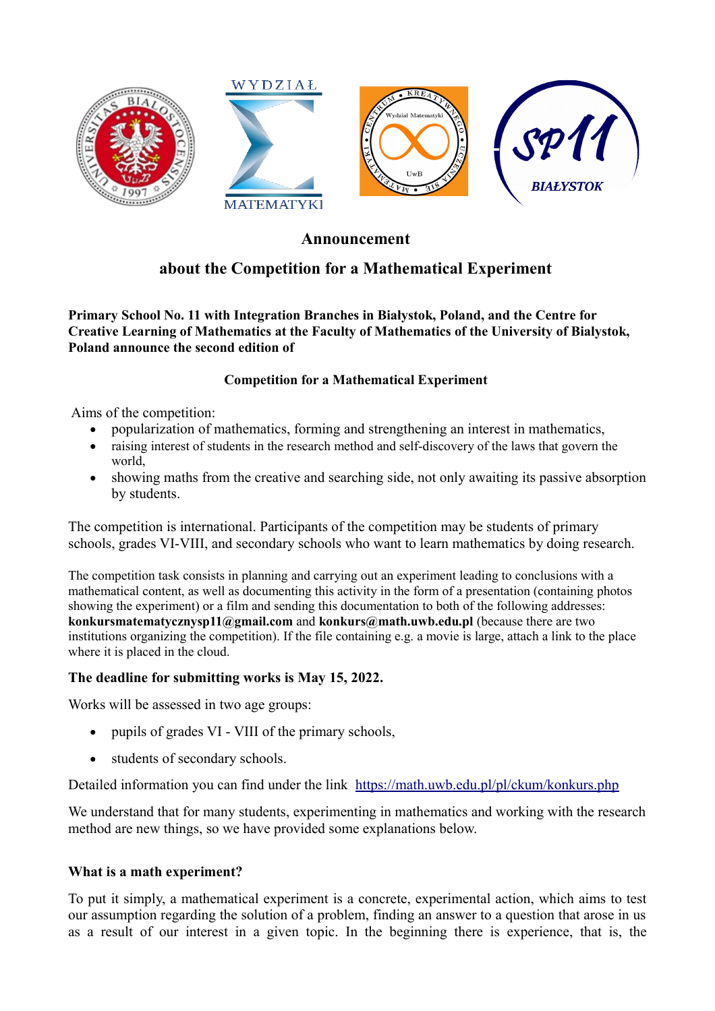

## **Announcement**

# **about the Competition for a Mathematical Experiment**

**Primary School No. 11 with Integration Branches in Białystok, Poland, and the Centre for Creative Learning of Mathematics at the Faculty of Mathematics of the University of Bialystok, Poland announce the second edition of** 

### **Competition for a Mathematical Experiment**

Aims of the competition:

- popularization of mathematics, forming and strengthening an interest in mathematics,
- raising interest of students in the research method and self-discovery of the laws that govern the world,
- showing maths from the creative and searching side, not only awaiting its passive absorption by students.

The competition is international. Participants of the competition may be students of primary schools, grades VI-VIII, and secondary schools who want to learn mathematics by doing research.

The competition task consists in planning and carrying out an experiment leading to conclusions with a mathematical content, as well as documenting this activity in the form of a presentation (containing photos showing the experiment) or a film and sending this documentation to both of the following addresses: **konkursmatematycznysp11@gmail.com** and **konkurs@math.uwb.edu.pl** (because there are two institutions organizing the competition). If the file containing e.g. a movie is large, attach a link to the place where it is placed in the cloud.

### **The deadline for submitting works is May 15, 2022.**

Works will be assessed in two age groups:

- pupils of grades VI VIII of the primary schools,
- students of secondary schools.

Detailed information you can find under the link <https://math.uwb.edu.pl/pl/ckum/konkurs.php>

We understand that for many students, experimenting in mathematics and working with the research method are new things, so we have provided some explanations below.

#### **What is a math experiment?**

To put it simply, a mathematical experiment is a concrete, experimental action, which aims to test our assumption regarding the solution of a problem, finding an answer to a question that arose in us as a result of our interest in a given topic. In the beginning there is experience, that is, the